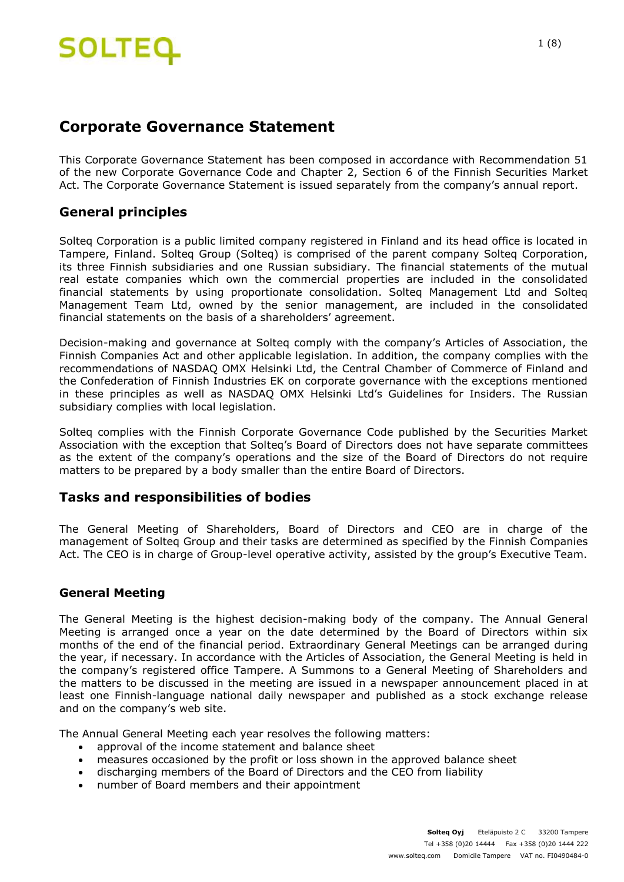## **Corporate Governance Statement**

This Corporate Governance Statement has been composed in accordance with Recommendation 51 of the new Corporate Governance Code and Chapter 2, Section 6 of the Finnish Securities Market Act. The Corporate Governance Statement is issued separately from the company's annual report.

## **General principles**

Solteq Corporation is a public limited company registered in Finland and its head office is located in Tampere, Finland. Solteq Group (Solteq) is comprised of the parent company Solteq Corporation, its three Finnish subsidiaries and one Russian subsidiary. The financial statements of the mutual real estate companies which own the commercial properties are included in the consolidated financial statements by using proportionate consolidation. Solteq Management Ltd and Solteq Management Team Ltd, owned by the senior management, are included in the consolidated financial statements on the basis of a shareholders' agreement.

Decision-making and governance at Solteq comply with the company's Articles of Association, the Finnish Companies Act and other applicable legislation. In addition, the company complies with the recommendations of NASDAQ OMX Helsinki Ltd, the Central Chamber of Commerce of Finland and the Confederation of Finnish Industries EK on corporate governance with the exceptions mentioned in these principles as well as NASDAQ OMX Helsinki Ltd's Guidelines for Insiders. The Russian subsidiary complies with local legislation.

Solteq complies with the Finnish Corporate Governance Code published by the Securities Market Association with the exception that Solteq's Board of Directors does not have separate committees as the extent of the company's operations and the size of the Board of Directors do not require matters to be prepared by a body smaller than the entire Board of Directors.

### **Tasks and responsibilities of bodies**

The General Meeting of Shareholders, Board of Directors and CEO are in charge of the management of Solteq Group and their tasks are determined as specified by the Finnish Companies Act. The CEO is in charge of Group-level operative activity, assisted by the group's Executive Team.

### **General Meeting**

The General Meeting is the highest decision-making body of the company. The Annual General Meeting is arranged once a year on the date determined by the Board of Directors within six months of the end of the financial period. Extraordinary General Meetings can be arranged during the year, if necessary. In accordance with the Articles of Association, the General Meeting is held in the company's registered office Tampere. A Summons to a General Meeting of Shareholders and the matters to be discussed in the meeting are issued in a newspaper announcement placed in at least one Finnish-language national daily newspaper and published as a stock exchange release and on the company's web site.

The Annual General Meeting each year resolves the following matters:

- approval of the income statement and balance sheet
- measures occasioned by the profit or loss shown in the approved balance sheet
- discharging members of the Board of Directors and the CEO from liability
- number of Board members and their appointment

1 (8)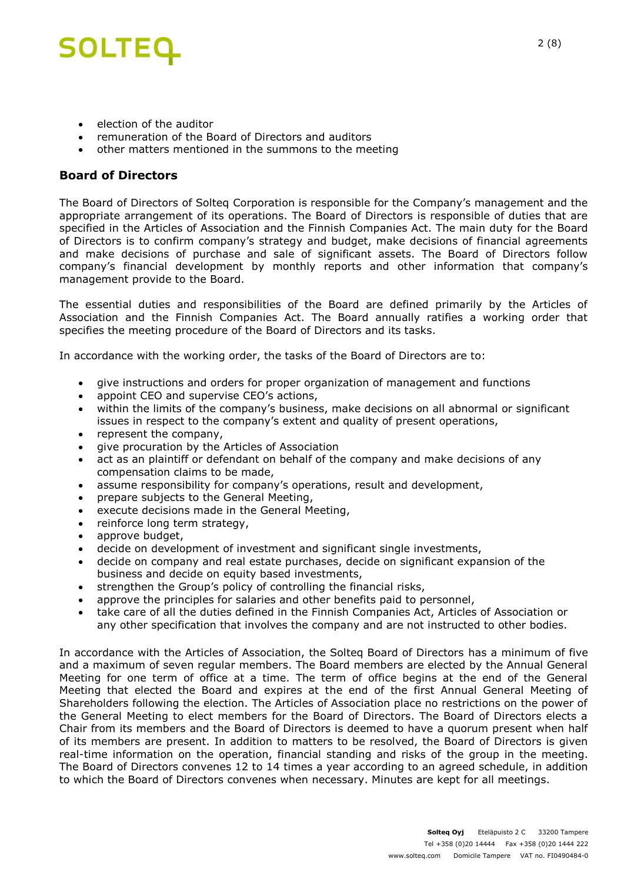## **SOLTEQ**

- election of the auditor
- remuneration of the Board of Directors and auditors
- other matters mentioned in the summons to the meeting

## **Board of Directors**

The Board of Directors of Solteq Corporation is responsible for the Company's management and the appropriate arrangement of its operations. The Board of Directors is responsible of duties that are specified in the Articles of Association and the Finnish Companies Act. The main duty for the Board of Directors is to confirm company's strategy and budget, make decisions of financial agreements and make decisions of purchase and sale of significant assets. The Board of Directors follow company's financial development by monthly reports and other information that company's management provide to the Board.

The essential duties and responsibilities of the Board are defined primarily by the Articles of Association and the Finnish Companies Act. The Board annually ratifies a working order that specifies the meeting procedure of the Board of Directors and its tasks.

In accordance with the working order, the tasks of the Board of Directors are to:

- give instructions and orders for proper organization of management and functions
- appoint CEO and supervise CEO's actions,
- within the limits of the company's business, make decisions on all abnormal or significant issues in respect to the company's extent and quality of present operations,
- represent the company,
- give procuration by the Articles of Association
- act as an plaintiff or defendant on behalf of the company and make decisions of any compensation claims to be made,
- assume responsibility for company's operations, result and development,
- prepare subjects to the General Meeting,
- execute decisions made in the General Meeting,
- reinforce long term strategy,
- approve budget,
- decide on development of investment and significant single investments,
- decide on company and real estate purchases, decide on significant expansion of the business and decide on equity based investments,
- strengthen the Group's policy of controlling the financial risks,
- approve the principles for salaries and other benefits paid to personnel,
- take care of all the duties defined in the Finnish Companies Act, Articles of Association or any other specification that involves the company and are not instructed to other bodies.

In accordance with the Articles of Association, the Solteq Board of Directors has a minimum of five and a maximum of seven regular members. The Board members are elected by the Annual General Meeting for one term of office at a time. The term of office begins at the end of the General Meeting that elected the Board and expires at the end of the first Annual General Meeting of Shareholders following the election. The Articles of Association place no restrictions on the power of the General Meeting to elect members for the Board of Directors. The Board of Directors elects a Chair from its members and the Board of Directors is deemed to have a quorum present when half of its members are present. In addition to matters to be resolved, the Board of Directors is given real-time information on the operation, financial standing and risks of the group in the meeting. The Board of Directors convenes 12 to 14 times a year according to an agreed schedule, in addition to which the Board of Directors convenes when necessary. Minutes are kept for all meetings.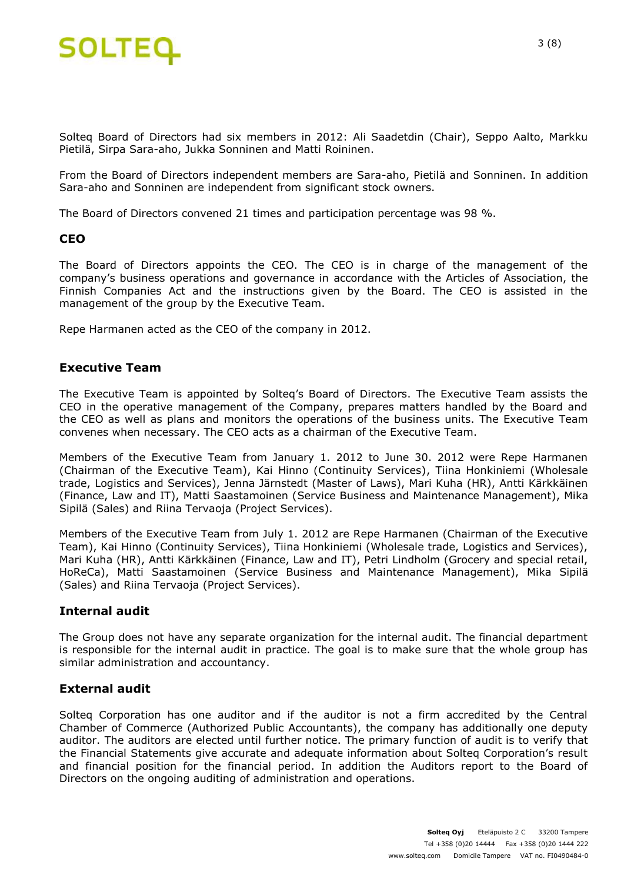

Solteq Board of Directors had six members in 2012: Ali Saadetdin (Chair), Seppo Aalto, Markku Pietilä, Sirpa Sara-aho, Jukka Sonninen and Matti Roininen.

From the Board of Directors independent members are Sara-aho, Pietilä and Sonninen. In addition Sara-aho and Sonninen are independent from significant stock owners.

The Board of Directors convened 21 times and participation percentage was 98 %.

#### **CEO**

The Board of Directors appoints the CEO. The CEO is in charge of the management of the company's business operations and governance in accordance with the Articles of Association, the Finnish Companies Act and the instructions given by the Board. The CEO is assisted in the management of the group by the Executive Team.

Repe Harmanen acted as the CEO of the company in 2012.

#### **Executive Team**

The Executive Team is appointed by Solteq's Board of Directors. The Executive Team assists the CEO in the operative management of the Company, prepares matters handled by the Board and the CEO as well as plans and monitors the operations of the business units. The Executive Team convenes when necessary. The CEO acts as a chairman of the Executive Team.

Members of the Executive Team from January 1. 2012 to June 30. 2012 were Repe Harmanen (Chairman of the Executive Team), Kai Hinno (Continuity Services), Tiina Honkiniemi (Wholesale trade, Logistics and Services), Jenna Järnstedt (Master of Laws), Mari Kuha (HR), Antti Kärkkäinen (Finance, Law and IT), Matti Saastamoinen (Service Business and Maintenance Management), Mika Sipilä (Sales) and Riina Tervaoja (Project Services).

Members of the Executive Team from July 1. 2012 are Repe Harmanen (Chairman of the Executive Team), Kai Hinno (Continuity Services), Tiina Honkiniemi (Wholesale trade, Logistics and Services), Mari Kuha (HR), Antti Kärkkäinen (Finance, Law and IT), Petri Lindholm (Grocery and special retail, HoReCa), Matti Saastamoinen (Service Business and Maintenance Management), Mika Sipilä (Sales) and Riina Tervaoja (Project Services).

#### **Internal audit**

The Group does not have any separate organization for the internal audit. The financial department is responsible for the internal audit in practice. The goal is to make sure that the whole group has similar administration and accountancy.

#### **External audit**

Solteq Corporation has one auditor and if the auditor is not a firm accredited by the Central Chamber of Commerce (Authorized Public Accountants), the company has additionally one deputy auditor. The auditors are elected until further notice. The primary function of audit is to verify that the Financial Statements give accurate and adequate information about Solteq Corporation's result and financial position for the financial period. In addition the Auditors report to the Board of Directors on the ongoing auditing of administration and operations.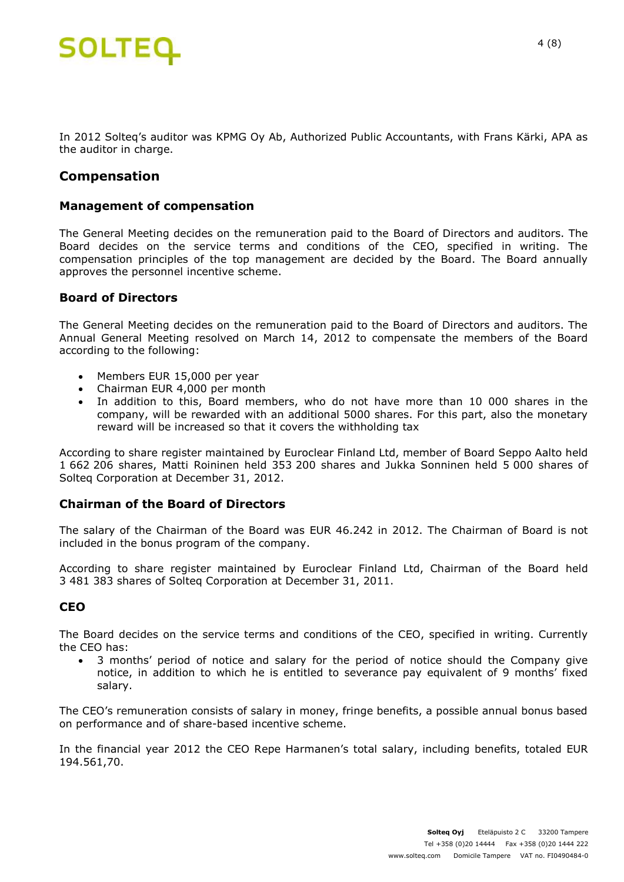# **SOLTEQ**

In 2012 Solteq's auditor was KPMG Oy Ab, Authorized Public Accountants, with Frans Kärki, APA as the auditor in charge.

## **Compensation**

#### **Management of compensation**

The General Meeting decides on the remuneration paid to the Board of Directors and auditors. The Board decides on the service terms and conditions of the CEO, specified in writing. The compensation principles of the top management are decided by the Board. The Board annually approves the personnel incentive scheme.

#### **Board of Directors**

The General Meeting decides on the remuneration paid to the Board of Directors and auditors. The Annual General Meeting resolved on March 14, 2012 to compensate the members of the Board according to the following:

- Members EUR 15,000 per year
- Chairman EUR 4,000 per month
- In addition to this, Board members, who do not have more than 10 000 shares in the company, will be rewarded with an additional 5000 shares. For this part, also the monetary reward will be increased so that it covers the withholding tax

According to share register maintained by Euroclear Finland Ltd, member of Board Seppo Aalto held 1 662 206 shares, Matti Roininen held 353 200 shares and Jukka Sonninen held 5 000 shares of Solteq Corporation at December 31, 2012.

#### **Chairman of the Board of Directors**

The salary of the Chairman of the Board was EUR 46.242 in 2012. The Chairman of Board is not included in the bonus program of the company.

According to share register maintained by Euroclear Finland Ltd, Chairman of the Board held 3 481 383 shares of Solteq Corporation at December 31, 2011.

#### **CEO**

The Board decides on the service terms and conditions of the CEO, specified in writing. Currently the CEO has:

 3 months' period of notice and salary for the period of notice should the Company give notice, in addition to which he is entitled to severance pay equivalent of 9 months' fixed salary.

The CEO's remuneration consists of salary in money, fringe benefits, a possible annual bonus based on performance and of share-based incentive scheme.

In the financial year 2012 the CEO Repe Harmanen's total salary, including benefits, totaled EUR 194.561,70.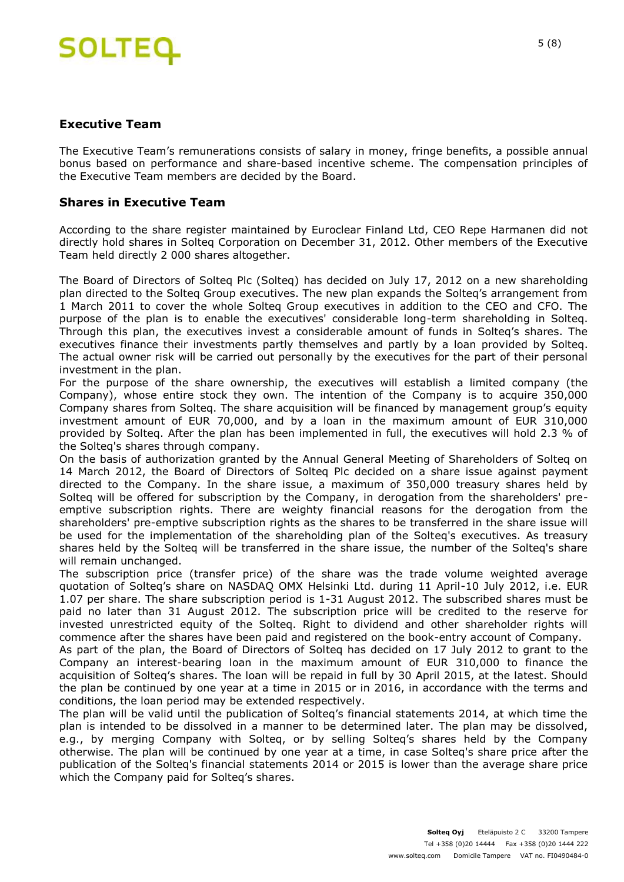# **SOLTEQ**

#### **Executive Team**

The Executive Team's remunerations consists of salary in money, fringe benefits, a possible annual bonus based on performance and share-based incentive scheme. The compensation principles of the Executive Team members are decided by the Board.

#### **Shares in Executive Team**

According to the share register maintained by Euroclear Finland Ltd, CEO Repe Harmanen did not directly hold shares in Solteq Corporation on December 31, 2012. Other members of the Executive Team held directly 2 000 shares altogether.

The Board of Directors of Solteq Plc (Solteq) has decided on July 17, 2012 on a new shareholding plan directed to the Solteq Group executives. The new plan expands the Solteq's arrangement from 1 March 2011 to cover the whole Solteq Group executives in addition to the CEO and CFO. The purpose of the plan is to enable the executives' considerable long-term shareholding in Solteq. Through this plan, the executives invest a considerable amount of funds in Solteq's shares. The executives finance their investments partly themselves and partly by a loan provided by Solteq. The actual owner risk will be carried out personally by the executives for the part of their personal investment in the plan.

For the purpose of the share ownership, the executives will establish a limited company (the Company), whose entire stock they own. The intention of the Company is to acquire 350,000 Company shares from Solteq. The share acquisition will be financed by management group's equity investment amount of EUR 70,000, and by a loan in the maximum amount of EUR 310,000 provided by Solteq. After the plan has been implemented in full, the executives will hold 2.3 % of the Solteq's shares through company.

On the basis of authorization granted by the Annual General Meeting of Shareholders of Solteq on 14 March 2012, the Board of Directors of Solteq Plc decided on a share issue against payment directed to the Company. In the share issue, a maximum of 350,000 treasury shares held by Solteq will be offered for subscription by the Company, in derogation from the shareholders' preemptive subscription rights. There are weighty financial reasons for the derogation from the shareholders' pre-emptive subscription rights as the shares to be transferred in the share issue will be used for the implementation of the shareholding plan of the Solteq's executives. As treasury shares held by the Solteq will be transferred in the share issue, the number of the Solteq's share will remain unchanged.

The subscription price (transfer price) of the share was the trade volume weighted average quotation of Solteq's share on NASDAQ OMX Helsinki Ltd. during 11 April-10 July 2012, i.e. EUR 1.07 per share. The share subscription period is 1-31 August 2012. The subscribed shares must be paid no later than 31 August 2012. The subscription price will be credited to the reserve for invested unrestricted equity of the Solteq. Right to dividend and other shareholder rights will commence after the shares have been paid and registered on the book-entry account of Company.

As part of the plan, the Board of Directors of Solteq has decided on 17 July 2012 to grant to the Company an interest-bearing loan in the maximum amount of EUR 310,000 to finance the acquisition of Solteq's shares. The loan will be repaid in full by 30 April 2015, at the latest. Should the plan be continued by one year at a time in 2015 or in 2016, in accordance with the terms and conditions, the loan period may be extended respectively.

The plan will be valid until the publication of Solteq's financial statements 2014, at which time the plan is intended to be dissolved in a manner to be determined later. The plan may be dissolved, e.g., by merging Company with Solteq, or by selling Solteq's shares held by the Company otherwise. The plan will be continued by one year at a time, in case Solteq's share price after the publication of the Solteq's financial statements 2014 or 2015 is lower than the average share price which the Company paid for Solteg's shares.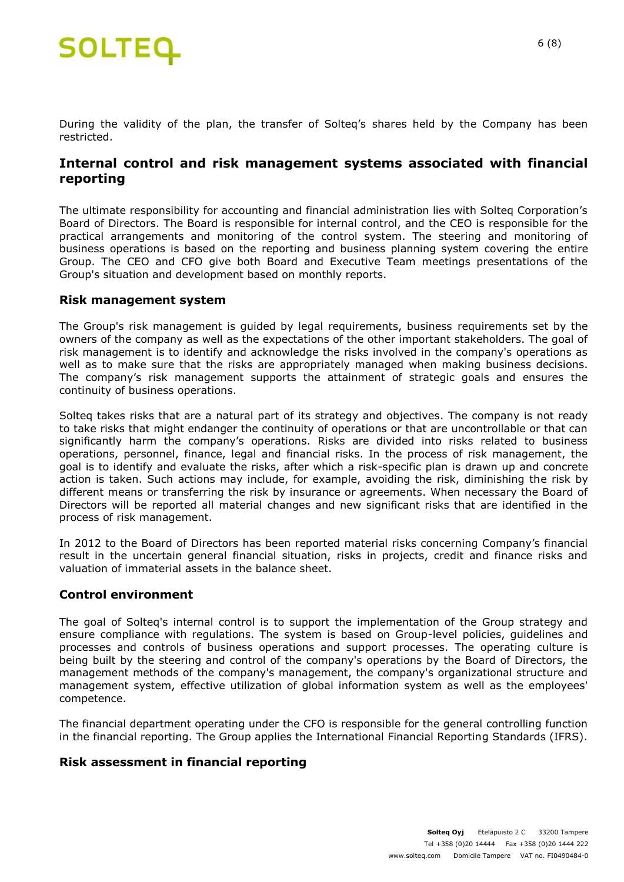

During the validity of the plan, the transfer of Solteq's shares held by the Company has been restricted.

## **Internal control and risk management systems associated with financial reporting**

The ultimate responsibility for accounting and financial administration lies with Solteq Corporation's Board of Directors. The Board is responsible for internal control, and the CEO is responsible for the practical arrangements and monitoring of the control system. The steering and monitoring of business operations is based on the reporting and business planning system covering the entire Group. The CEO and CFO give both Board and Executive Team meetings presentations of the Group's situation and development based on monthly reports.

#### **Risk management system**

The Group's risk management is guided by legal requirements, business requirements set by the owners of the company as well as the expectations of the other important stakeholders. The goal of risk management is to identify and acknowledge the risks involved in the company's operations as well as to make sure that the risks are appropriately managed when making business decisions. The company's risk management supports the attainment of strategic goals and ensures the continuity of business operations.

Solteq takes risks that are a natural part of its strategy and objectives. The company is not ready to take risks that might endanger the continuity of operations or that are uncontrollable or that can significantly harm the company's operations. Risks are divided into risks related to business operations, personnel, finance, legal and financial risks. In the process of risk management, the goal is to identify and evaluate the risks, after which a risk-specific plan is drawn up and concrete action is taken. Such actions may include, for example, avoiding the risk, diminishing the risk by different means or transferring the risk by insurance or agreements. When necessary the Board of Directors will be reported all material changes and new significant risks that are identified in the process of risk management.

In 2012 to the Board of Directors has been reported material risks concerning Company's financial result in the uncertain general financial situation, risks in projects, credit and finance risks and valuation of immaterial assets in the balance sheet.

#### **Control environment**

The goal of Solteq's internal control is to support the implementation of the Group strategy and ensure compliance with regulations. The system is based on Group-level policies, guidelines and processes and controls of business operations and support processes. The operating culture is being built by the steering and control of the company's operations by the Board of Directors, the management methods of the company's management, the company's organizational structure and management system, effective utilization of global information system as well as the employees' competence.

The financial department operating under the CFO is responsible for the general controlling function in the financial reporting. The Group applies the International Financial Reporting Standards (IFRS).

#### **Risk assessment in financial reporting**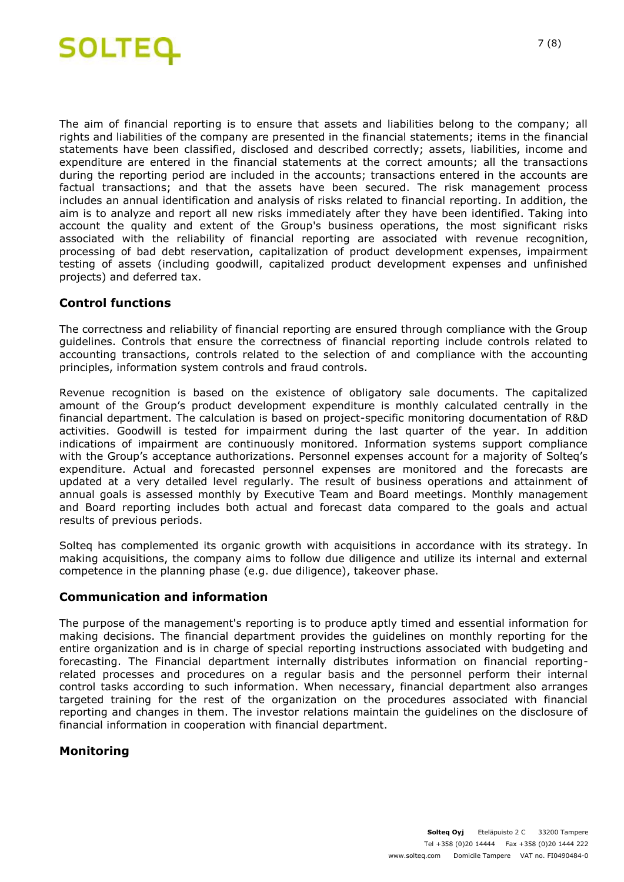

The aim of financial reporting is to ensure that assets and liabilities belong to the company; all rights and liabilities of the company are presented in the financial statements; items in the financial statements have been classified, disclosed and described correctly; assets, liabilities, income and expenditure are entered in the financial statements at the correct amounts; all the transactions during the reporting period are included in the accounts; transactions entered in the accounts are factual transactions; and that the assets have been secured. The risk management process includes an annual identification and analysis of risks related to financial reporting. In addition, the aim is to analyze and report all new risks immediately after they have been identified. Taking into account the quality and extent of the Group's business operations, the most significant risks associated with the reliability of financial reporting are associated with revenue recognition, processing of bad debt reservation, capitalization of product development expenses, impairment testing of assets (including goodwill, capitalized product development expenses and unfinished projects) and deferred tax.

#### **Control functions**

The correctness and reliability of financial reporting are ensured through compliance with the Group guidelines. Controls that ensure the correctness of financial reporting include controls related to accounting transactions, controls related to the selection of and compliance with the accounting principles, information system controls and fraud controls.

Revenue recognition is based on the existence of obligatory sale documents. The capitalized amount of the Group's product development expenditure is monthly calculated centrally in the financial department. The calculation is based on project-specific monitoring documentation of R&D activities. Goodwill is tested for impairment during the last quarter of the year. In addition indications of impairment are continuously monitored. Information systems support compliance with the Group's acceptance authorizations. Personnel expenses account for a majority of Solteq's expenditure. Actual and forecasted personnel expenses are monitored and the forecasts are updated at a very detailed level regularly. The result of business operations and attainment of annual goals is assessed monthly by Executive Team and Board meetings. Monthly management and Board reporting includes both actual and forecast data compared to the goals and actual results of previous periods.

Solteq has complemented its organic growth with acquisitions in accordance with its strategy. In making acquisitions, the company aims to follow due diligence and utilize its internal and external competence in the planning phase (e.g. due diligence), takeover phase.

#### **Communication and information**

The purpose of the management's reporting is to produce aptly timed and essential information for making decisions. The financial department provides the guidelines on monthly reporting for the entire organization and is in charge of special reporting instructions associated with budgeting and forecasting. The Financial department internally distributes information on financial reportingrelated processes and procedures on a regular basis and the personnel perform their internal control tasks according to such information. When necessary, financial department also arranges targeted training for the rest of the organization on the procedures associated with financial reporting and changes in them. The investor relations maintain the guidelines on the disclosure of financial information in cooperation with financial department.

#### **Monitoring**